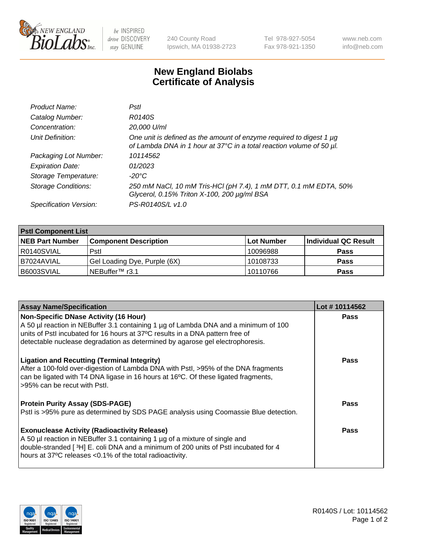

be INSPIRED drive DISCOVERY stay GENUINE

240 County Road Ipswich, MA 01938-2723 Tel 978-927-5054 Fax 978-921-1350 www.neb.com info@neb.com

## **New England Biolabs Certificate of Analysis**

| Product Name:              | Pstl                                                                                                                                        |
|----------------------------|---------------------------------------------------------------------------------------------------------------------------------------------|
| Catalog Number:            | R0140S                                                                                                                                      |
| Concentration:             | 20,000 U/ml                                                                                                                                 |
| Unit Definition:           | One unit is defined as the amount of enzyme required to digest 1 µg<br>of Lambda DNA in 1 hour at 37°C in a total reaction volume of 50 µl. |
| Packaging Lot Number:      | 10114562                                                                                                                                    |
| <b>Expiration Date:</b>    | 01/2023                                                                                                                                     |
| Storage Temperature:       | -20°C                                                                                                                                       |
| <b>Storage Conditions:</b> | 250 mM NaCl, 10 mM Tris-HCl (pH 7.4), 1 mM DTT, 0.1 mM EDTA, 50%<br>Glycerol, 0.15% Triton X-100, 200 µg/ml BSA                             |
| Specification Version:     | PS-R0140S/L v1.0                                                                                                                            |

| <b>PstI Component List</b> |                              |             |                      |  |  |
|----------------------------|------------------------------|-------------|----------------------|--|--|
| <b>NEB Part Number</b>     | <b>Component Description</b> | ∣Lot Number | Individual QC Result |  |  |
| R0140SVIAL                 | Pstl                         | 10096988    | <b>Pass</b>          |  |  |
| I B7024AVIAL               | Gel Loading Dye, Purple (6X) | 10108733    | <b>Pass</b>          |  |  |
| B6003SVIAL                 | ∟NEBuffer™ r3.1              | 10110766    | <b>Pass</b>          |  |  |

| <b>Assay Name/Specification</b>                                                                                                                                                                                                                                                       | Lot #10114562 |
|---------------------------------------------------------------------------------------------------------------------------------------------------------------------------------------------------------------------------------------------------------------------------------------|---------------|
| <b>Non-Specific DNase Activity (16 Hour)</b>                                                                                                                                                                                                                                          | <b>Pass</b>   |
| A 50 µl reaction in NEBuffer 3.1 containing 1 µg of Lambda DNA and a minimum of 100<br>units of PstI incubated for 16 hours at 37°C results in a DNA pattern free of                                                                                                                  |               |
| detectable nuclease degradation as determined by agarose gel electrophoresis.                                                                                                                                                                                                         |               |
| <b>Ligation and Recutting (Terminal Integrity)</b><br>After a 100-fold over-digestion of Lambda DNA with Pstl, >95% of the DNA fragments<br>can be ligated with T4 DNA ligase in 16 hours at 16°C. Of these ligated fragments,<br>>95% can be recut with Pstl.                        | <b>Pass</b>   |
| <b>Protein Purity Assay (SDS-PAGE)</b><br>Pstl is >95% pure as determined by SDS PAGE analysis using Coomassie Blue detection.                                                                                                                                                        | Pass          |
| <b>Exonuclease Activity (Radioactivity Release)</b><br>A 50 µl reaction in NEBuffer 3.1 containing 1 µg of a mixture of single and<br>double-stranded [3H] E. coli DNA and a minimum of 200 units of Pstl incubated for 4<br>hours at 37°C releases <0.1% of the total radioactivity. | Pass          |